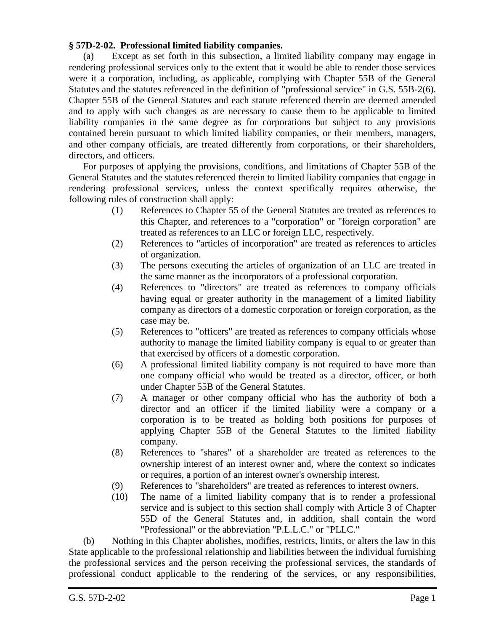## **§ 57D-2-02. Professional limited liability companies.**

(a) Except as set forth in this subsection, a limited liability company may engage in rendering professional services only to the extent that it would be able to render those services were it a corporation, including, as applicable, complying with Chapter 55B of the General Statutes and the statutes referenced in the definition of "professional service" in G.S. 55B-2(6). Chapter 55B of the General Statutes and each statute referenced therein are deemed amended and to apply with such changes as are necessary to cause them to be applicable to limited liability companies in the same degree as for corporations but subject to any provisions contained herein pursuant to which limited liability companies, or their members, managers, and other company officials, are treated differently from corporations, or their shareholders, directors, and officers.

For purposes of applying the provisions, conditions, and limitations of Chapter 55B of the General Statutes and the statutes referenced therein to limited liability companies that engage in rendering professional services, unless the context specifically requires otherwise, the following rules of construction shall apply:

- (1) References to Chapter 55 of the General Statutes are treated as references to this Chapter, and references to a "corporation" or "foreign corporation" are treated as references to an LLC or foreign LLC, respectively.
- (2) References to "articles of incorporation" are treated as references to articles of organization.
- (3) The persons executing the articles of organization of an LLC are treated in the same manner as the incorporators of a professional corporation.
- (4) References to "directors" are treated as references to company officials having equal or greater authority in the management of a limited liability company as directors of a domestic corporation or foreign corporation, as the case may be.
- (5) References to "officers" are treated as references to company officials whose authority to manage the limited liability company is equal to or greater than that exercised by officers of a domestic corporation.
- (6) A professional limited liability company is not required to have more than one company official who would be treated as a director, officer, or both under Chapter 55B of the General Statutes.
- (7) A manager or other company official who has the authority of both a director and an officer if the limited liability were a company or a corporation is to be treated as holding both positions for purposes of applying Chapter 55B of the General Statutes to the limited liability company.
- (8) References to "shares" of a shareholder are treated as references to the ownership interest of an interest owner and, where the context so indicates or requires, a portion of an interest owner's ownership interest.
- (9) References to "shareholders" are treated as references to interest owners.
- (10) The name of a limited liability company that is to render a professional service and is subject to this section shall comply with Article 3 of Chapter 55D of the General Statutes and, in addition, shall contain the word "Professional" or the abbreviation "P.L.L.C." or "PLLC."

(b) Nothing in this Chapter abolishes, modifies, restricts, limits, or alters the law in this State applicable to the professional relationship and liabilities between the individual furnishing the professional services and the person receiving the professional services, the standards of professional conduct applicable to the rendering of the services, or any responsibilities,